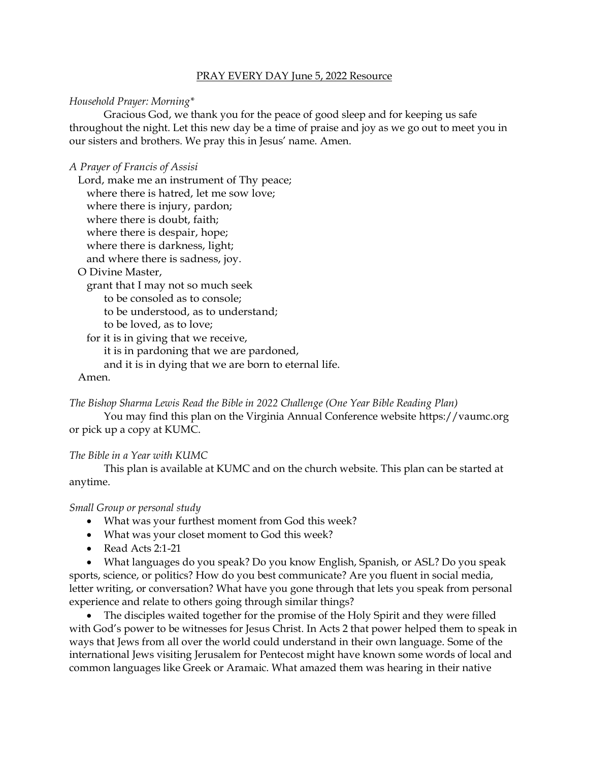### PRAY EVERY DAY June 5, 2022 Resource

### *Household Prayer: Morning\**

Gracious God, we thank you for the peace of good sleep and for keeping us safe throughout the night. Let this new day be a time of praise and joy as we go out to meet you in our sisters and brothers. We pray this in Jesus' name. Amen.

### *A Prayer of Francis of Assisi*

Lord, make me an instrument of Thy peace; where there is hatred, let me sow love; where there is injury, pardon; where there is doubt, faith; where there is despair, hope; where there is darkness, light; and where there is sadness, joy. O Divine Master, grant that I may not so much seek

to be consoled as to console;

to be understood, as to understand;

to be loved, as to love;

for it is in giving that we receive,

it is in pardoning that we are pardoned,

and it is in dying that we are born to eternal life.

### Amen.

*The Bishop Sharma Lewis Read the Bible in 2022 Challenge (One Year Bible Reading Plan)*

You may find this plan on the Virginia Annual Conference website [https://vaumc.org](https://vaumc.org/) or pick up a copy at KUMC.

### *The Bible in a Year with KUMC*

This plan is available at KUMC and on the church website. This plan can be started at anytime.

#### *Small Group or personal study*

- What was your furthest moment from God this week?
- What was your closet moment to God this week?
- Read Acts 2:1-21

• What languages do you speak? Do you know English, Spanish, or ASL? Do you speak sports, science, or politics? How do you best communicate? Are you fluent in social media, letter writing, or conversation? What have you gone through that lets you speak from personal experience and relate to others going through similar things?

The disciples waited together for the promise of the Holy Spirit and they were filled with God's power to be witnesses for Jesus Christ. In Acts 2 that power helped them to speak in ways that Jews from all over the world could understand in their own language. Some of the international Jews visiting Jerusalem for Pentecost might have known some words of local and common languages like Greek or Aramaic. What amazed them was hearing in their native